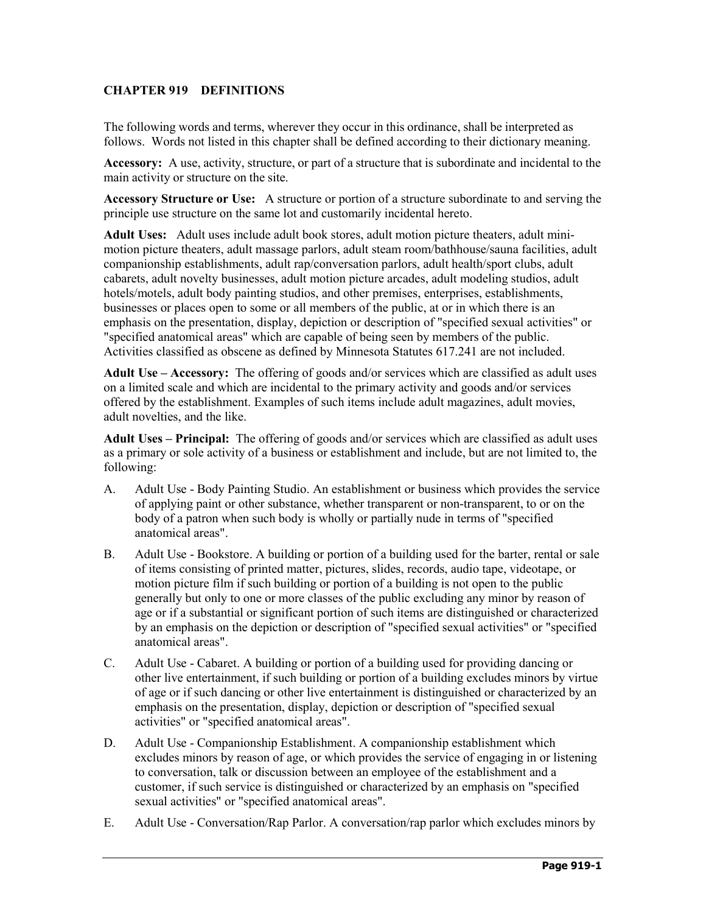# **CHAPTER 919 DEFINITIONS**

The following words and terms, wherever they occur in this ordinance, shall be interpreted as follows. Words not listed in this chapter shall be defined according to their dictionary meaning.

**Accessory:** A use, activity, structure, or part of a structure that is subordinate and incidental to the main activity or structure on the site.

**Accessory Structure or Use:** A structure or portion of a structure subordinate to and serving the principle use structure on the same lot and customarily incidental hereto.

**Adult Uses:** Adult uses include adult book stores, adult motion picture theaters, adult minimotion picture theaters, adult massage parlors, adult steam room/bathhouse/sauna facilities, adult companionship establishments, adult rap/conversation parlors, adult health/sport clubs, adult cabarets, adult novelty businesses, adult motion picture arcades, adult modeling studios, adult hotels/motels, adult body painting studios, and other premises, enterprises, establishments, businesses or places open to some or all members of the public, at or in which there is an emphasis on the presentation, display, depiction or description of "specified sexual activities" or "specified anatomical areas" which are capable of being seen by members of the public. Activities classified as obscene as defined by Minnesota Statutes 617.241 are not included.

**Adult Use – Accessory:** The offering of goods and/or services which are classified as adult uses on a limited scale and which are incidental to the primary activity and goods and/or services offered by the establishment. Examples of such items include adult magazines, adult movies, adult novelties, and the like.

**Adult Uses – Principal:** The offering of goods and/or services which are classified as adult uses as a primary or sole activity of a business or establishment and include, but are not limited to, the following:

- A. Adult Use Body Painting Studio. An establishment or business which provides the service of applying paint or other substance, whether transparent or non-transparent, to or on the body of a patron when such body is wholly or partially nude in terms of "specified anatomical areas".
- B. Adult Use Bookstore. A building or portion of a building used for the barter, rental or sale of items consisting of printed matter, pictures, slides, records, audio tape, videotape, or motion picture film if such building or portion of a building is not open to the public generally but only to one or more classes of the public excluding any minor by reason of age or if a substantial or significant portion of such items are distinguished or characterized by an emphasis on the depiction or description of "specified sexual activities" or "specified anatomical areas".
- C. Adult Use Cabaret. A building or portion of a building used for providing dancing or other live entertainment, if such building or portion of a building excludes minors by virtue of age or if such dancing or other live entertainment is distinguished or characterized by an emphasis on the presentation, display, depiction or description of "specified sexual activities" or "specified anatomical areas".
- D. Adult Use Companionship Establishment. A companionship establishment which excludes minors by reason of age, or which provides the service of engaging in or listening to conversation, talk or discussion between an employee of the establishment and a customer, if such service is distinguished or characterized by an emphasis on "specified sexual activities" or "specified anatomical areas".
- E. Adult Use Conversation/Rap Parlor. A conversation/rap parlor which excludes minors by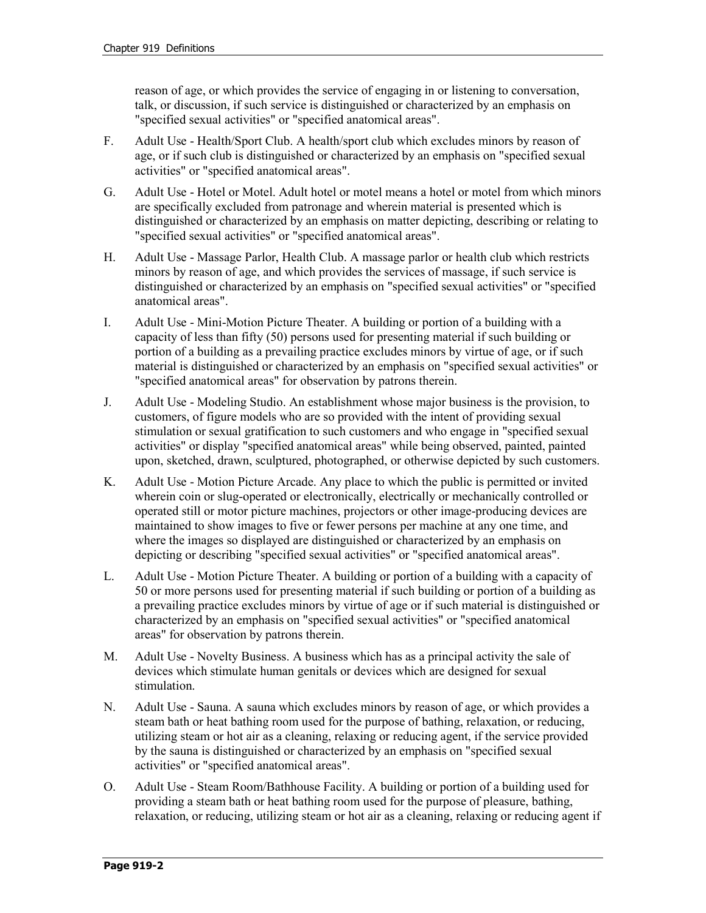reason of age, or which provides the service of engaging in or listening to conversation, talk, or discussion, if such service is distinguished or characterized by an emphasis on "specified sexual activities" or "specified anatomical areas".

- F. Adult Use Health/Sport Club. A health/sport club which excludes minors by reason of age, or if such club is distinguished or characterized by an emphasis on "specified sexual activities" or "specified anatomical areas".
- G. Adult Use Hotel or Motel. Adult hotel or motel means a hotel or motel from which minors are specifically excluded from patronage and wherein material is presented which is distinguished or characterized by an emphasis on matter depicting, describing or relating to "specified sexual activities" or "specified anatomical areas".
- H. Adult Use Massage Parlor, Health Club. A massage parlor or health club which restricts minors by reason of age, and which provides the services of massage, if such service is distinguished or characterized by an emphasis on "specified sexual activities" or "specified anatomical areas".
- I. Adult Use Mini-Motion Picture Theater. A building or portion of a building with a capacity of less than fifty (50) persons used for presenting material if such building or portion of a building as a prevailing practice excludes minors by virtue of age, or if such material is distinguished or characterized by an emphasis on "specified sexual activities" or "specified anatomical areas" for observation by patrons therein.
- J. Adult Use Modeling Studio. An establishment whose major business is the provision, to customers, of figure models who are so provided with the intent of providing sexual stimulation or sexual gratification to such customers and who engage in "specified sexual activities" or display "specified anatomical areas" while being observed, painted, painted upon, sketched, drawn, sculptured, photographed, or otherwise depicted by such customers.
- K. Adult Use Motion Picture Arcade. Any place to which the public is permitted or invited wherein coin or slug-operated or electronically, electrically or mechanically controlled or operated still or motor picture machines, projectors or other image-producing devices are maintained to show images to five or fewer persons per machine at any one time, and where the images so displayed are distinguished or characterized by an emphasis on depicting or describing "specified sexual activities" or "specified anatomical areas".
- L. Adult Use Motion Picture Theater. A building or portion of a building with a capacity of 50 or more persons used for presenting material if such building or portion of a building as a prevailing practice excludes minors by virtue of age or if such material is distinguished or characterized by an emphasis on "specified sexual activities" or "specified anatomical areas" for observation by patrons therein.
- M. Adult Use Novelty Business. A business which has as a principal activity the sale of devices which stimulate human genitals or devices which are designed for sexual stimulation.
- N. Adult Use Sauna. A sauna which excludes minors by reason of age, or which provides a steam bath or heat bathing room used for the purpose of bathing, relaxation, or reducing, utilizing steam or hot air as a cleaning, relaxing or reducing agent, if the service provided by the sauna is distinguished or characterized by an emphasis on "specified sexual activities" or "specified anatomical areas".
- O. Adult Use Steam Room/Bathhouse Facility. A building or portion of a building used for providing a steam bath or heat bathing room used for the purpose of pleasure, bathing, relaxation, or reducing, utilizing steam or hot air as a cleaning, relaxing or reducing agent if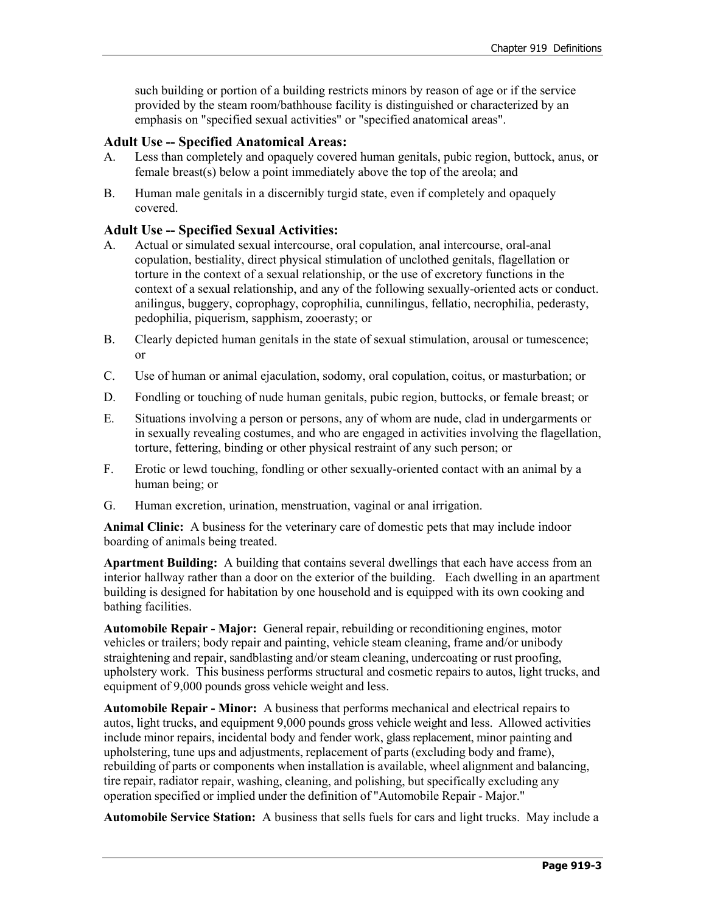such building or portion of a building restricts minors by reason of age or if the service provided by the steam room/bathhouse facility is distinguished or characterized by an emphasis on "specified sexual activities" or "specified anatomical areas".

# **Adult Use -- Specified Anatomical Areas:**

- A. Less than completely and opaquely covered human genitals, pubic region, buttock, anus, or female breast(s) below a point immediately above the top of the areola; and
- B. Human male genitals in a discernibly turgid state, even if completely and opaquely covered.

### **Adult Use -- Specified Sexual Activities:**

- A. Actual or simulated sexual intercourse, oral copulation, anal intercourse, oral-anal copulation, bestiality, direct physical stimulation of unclothed genitals, flagellation or torture in the context of a sexual relationship, or the use of excretory functions in the context of a sexual relationship, and any of the following sexually-oriented acts or conduct. anilingus, buggery, coprophagy, coprophilia, cunnilingus, fellatio, necrophilia, pederasty, pedophilia, piquerism, sapphism, zooerasty; or
- B. Clearly depicted human genitals in the state of sexual stimulation, arousal or tumescence; or
- C. Use of human or animal ejaculation, sodomy, oral copulation, coitus, or masturbation; or
- D. Fondling or touching of nude human genitals, pubic region, buttocks, or female breast; or
- E. Situations involving a person or persons, any of whom are nude, clad in undergarments or in sexually revealing costumes, and who are engaged in activities involving the flagellation, torture, fettering, binding or other physical restraint of any such person; or
- F. Erotic or lewd touching, fondling or other sexually-oriented contact with an animal by a human being; or
- G. Human excretion, urination, menstruation, vaginal or anal irrigation.

**Animal Clinic:** A business for the veterinary care of domestic pets that may include indoor boarding of animals being treated.

**Apartment Building:** A building that contains several dwellings that each have access from an interior hallway rather than a door on the exterior of the building. Each dwelling in an apartment building is designed for habitation by one household and is equipped with its own cooking and bathing facilities.

**Automobile Repair - Major:** General repair, rebuilding or reconditioning engines, motor vehicles or trailers; body repair and painting, vehicle steam cleaning, frame and/or unibody straightening and repair, sandblasting and/or steam cleaning, undercoating or rust proofing, upholstery work. This business performs structural and cosmetic repairs to autos, light trucks, and equipment of 9,000 pounds gross vehicle weight and less.

**Automobile Repair - Minor:** A business that performs mechanical and electrical repairs to autos, light trucks, and equipment 9,000 pounds gross vehicle weight and less. Allowed activities include minor repairs, incidental body and fender work, glass replacement, minor painting and upholstering, tune ups and adjustments, replacement of parts (excluding body and frame), rebuilding of parts or components when installation is available, wheel alignment and balancing, tire repair, radiator repair, washing, cleaning, and polishing, but specifically excluding any operation specified or implied under the definition of "Automobile Repair - Major."

**Automobile Service Station:** A business that sells fuels for cars and light trucks. May include a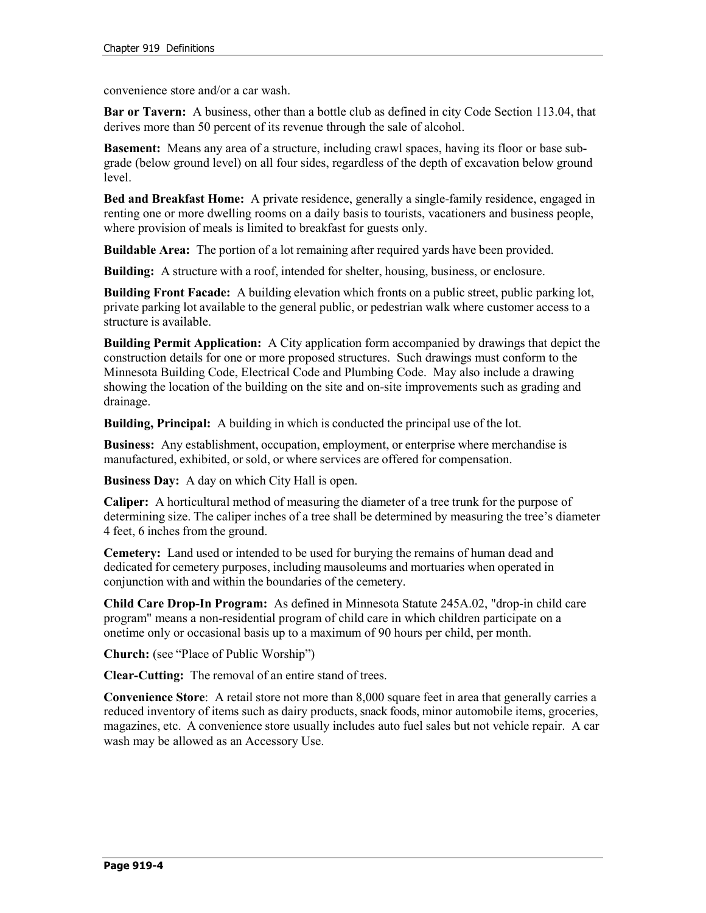convenience store and/or a car wash.

**Bar or Tavern:** A business, other than a bottle club as defined in city Code Section 113.04, that derives more than 50 percent of its revenue through the sale of alcohol.

**Basement:** Means any area of a structure, including crawl spaces, having its floor or base subgrade (below ground level) on all four sides, regardless of the depth of excavation below ground level.

**Bed and Breakfast Home:** A private residence, generally a single-family residence, engaged in renting one or more dwelling rooms on a daily basis to tourists, vacationers and business people, where provision of meals is limited to breakfast for guests only.

**Buildable Area:** The portion of a lot remaining after required yards have been provided.

**Building:** A structure with a roof, intended for shelter, housing, business, or enclosure.

**Building Front Facade:** A building elevation which fronts on a public street, public parking lot, private parking lot available to the general public, or pedestrian walk where customer access to a structure is available.

**Building Permit Application:** A City application form accompanied by drawings that depict the construction details for one or more proposed structures. Such drawings must conform to the Minnesota Building Code, Electrical Code and Plumbing Code. May also include a drawing showing the location of the building on the site and on-site improvements such as grading and drainage.

**Building, Principal:** A building in which is conducted the principal use of the lot.

**Business:** Any establishment, occupation, employment, or enterprise where merchandise is manufactured, exhibited, or sold, or where services are offered for compensation.

**Business Day:** A day on which City Hall is open.

**Caliper:** A horticultural method of measuring the diameter of a tree trunk for the purpose of determining size. The caliper inches of a tree shall be determined by measuring the tree's diameter 4 feet, 6 inches from the ground.

**Cemetery:** Land used or intended to be used for burying the remains of human dead and dedicated for cemetery purposes, including mausoleums and mortuaries when operated in conjunction with and within the boundaries of the cemetery.

**Child Care Drop-In Program:** As defined in Minnesota Statute 245A.02, "drop-in child care program" means a non-residential program of child care in which children participate on a onetime only or occasional basis up to a maximum of 90 hours per child, per month.

**Church:** (see "Place of Public Worship")

**Clear-Cutting:** The removal of an entire stand of trees.

**Convenience Store**: A retail store not more than 8,000 square feet in area that generally carries a reduced inventory of items such as dairy products, snack foods, minor automobile items, groceries, magazines, etc. A convenience store usually includes auto fuel sales but not vehicle repair. A car wash may be allowed as an Accessory Use.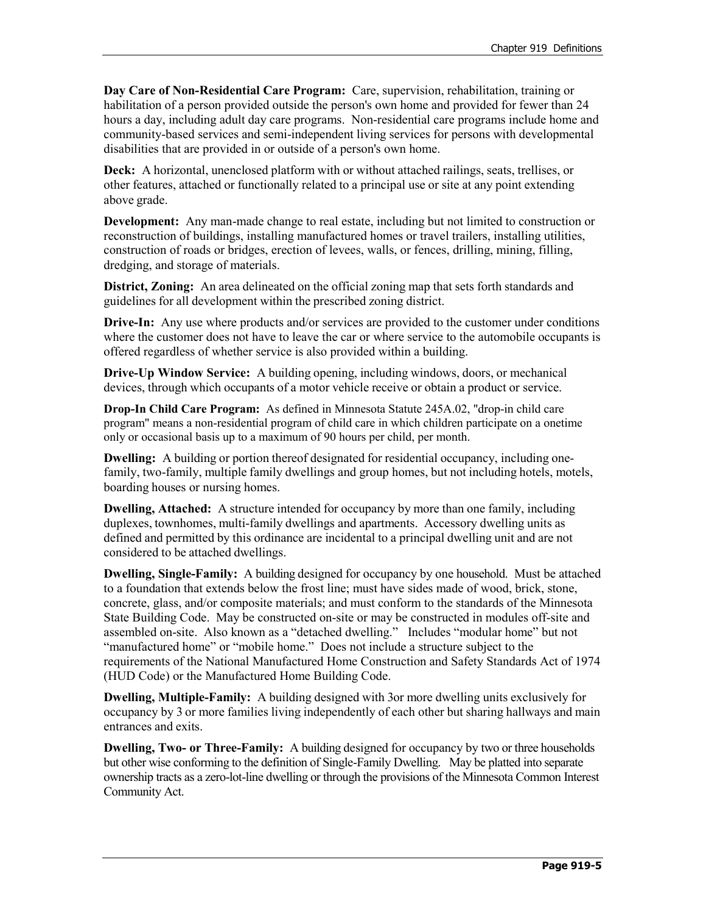**Day Care of Non-Residential Care Program:** Care, supervision, rehabilitation, training or habilitation of a person provided outside the person's own home and provided for fewer than 24 hours a day, including adult day care programs. Non-residential care programs include home and community-based services and semi-independent living services for persons with developmental disabilities that are provided in or outside of a person's own home.

**Deck:** A horizontal, unenclosed platform with or without attached railings, seats, trellises, or other features, attached or functionally related to a principal use or site at any point extending above grade.

**Development:** Any man-made change to real estate, including but not limited to construction or reconstruction of buildings, installing manufactured homes or travel trailers, installing utilities, construction of roads or bridges, erection of levees, walls, or fences, drilling, mining, filling, dredging, and storage of materials.

**District, Zoning:** An area delineated on the official zoning map that sets forth standards and guidelines for all development within the prescribed zoning district.

**Drive-In:** Any use where products and/or services are provided to the customer under conditions where the customer does not have to leave the car or where service to the automobile occupants is offered regardless of whether service is also provided within a building.

**Drive-Up Window Service:** A building opening, including windows, doors, or mechanical devices, through which occupants of a motor vehicle receive or obtain a product or service.

**Drop-In Child Care Program:** As defined in Minnesota Statute 245A.02, "drop-in child care program" means a non-residential program of child care in which children participate on a onetime only or occasional basis up to a maximum of 90 hours per child, per month.

**Dwelling:** A building or portion thereof designated for residential occupancy, including onefamily, two-family, multiple family dwellings and group homes, but not including hotels, motels, boarding houses or nursing homes.

**Dwelling, Attached:** A structure intended for occupancy by more than one family, including duplexes, townhomes, multi-family dwellings and apartments. Accessory dwelling units as defined and permitted by this ordinance are incidental to a principal dwelling unit and are not considered to be attached dwellings.

**Dwelling, Single-Family:** A building designed for occupancy by one household. Must be attached to a foundation that extends below the frost line; must have sides made of wood, brick, stone, concrete, glass, and/or composite materials; and must conform to the standards of the Minnesota State Building Code. May be constructed on-site or may be constructed in modules off-site and assembled on-site. Also known as a "detached dwelling." Includes "modular home" but not "manufactured home" or "mobile home." Does not include a structure subject to the requirements of the National Manufactured Home Construction and Safety Standards Act of 1974 (HUD Code) or the Manufactured Home Building Code.

**Dwelling, Multiple-Family:** A building designed with 3or more dwelling units exclusively for occupancy by 3 or more families living independently of each other but sharing hallways and main entrances and exits.

**Dwelling, Two- or Three-Family:** A building designed for occupancy by two or three households but other wise conforming to the definition of Single-Family Dwelling. May be platted into separate ownership tracts as a zero-lot-line dwelling or through the provisions of the Minnesota Common Interest Community Act.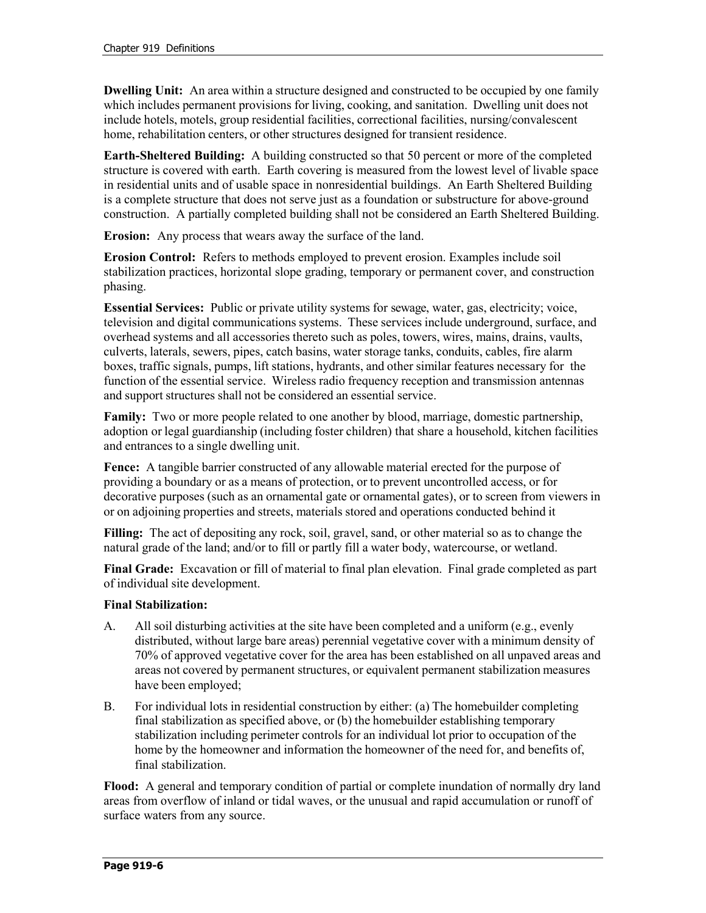**Dwelling Unit:** An area within a structure designed and constructed to be occupied by one family which includes permanent provisions for living, cooking, and sanitation. Dwelling unit does not include hotels, motels, group residential facilities, correctional facilities, nursing/convalescent home, rehabilitation centers, or other structures designed for transient residence.

**Earth-Sheltered Building:** A building constructed so that 50 percent or more of the completed structure is covered with earth. Earth covering is measured from the lowest level of livable space in residential units and of usable space in nonresidential buildings. An Earth Sheltered Building is a complete structure that does not serve just as a foundation or substructure for above-ground construction. A partially completed building shall not be considered an Earth Sheltered Building.

**Erosion:**Any process that wears away the surface of the land.

**Erosion Control:** Refers to methods employed to prevent erosion. Examples include soil stabilization practices, horizontal slope grading, temporary or permanent cover, and construction phasing.

**Essential Services:** Public or private utility systems for sewage, water, gas, electricity; voice, television and digital communications systems. These services include underground, surface, and overhead systems and all accessories thereto such as poles, towers, wires, mains, drains, vaults, culverts, laterals, sewers, pipes, catch basins, water storage tanks, conduits, cables, fire alarm boxes, traffic signals, pumps, lift stations, hydrants, and other similar features necessary for the function of the essential service. Wireless radio frequency reception and transmission antennas and support structures shall not be considered an essential service.

**Family:** Two or more people related to one another by blood, marriage, domestic partnership, adoption or legal guardianship (including foster children) that share a household, kitchen facilities and entrances to a single dwelling unit.

**Fence:** A tangible barrier constructed of any allowable material erected for the purpose of providing a boundary or as a means of protection, or to prevent uncontrolled access, or for decorative purposes (such as an ornamental gate or ornamental gates), or to screen from viewers in or on adjoining properties and streets, materials stored and operations conducted behind it

**Filling:** The act of depositing any rock, soil, gravel, sand, or other material so as to change the natural grade of the land; and/or to fill or partly fill a water body, watercourse, or wetland.

**Final Grade:** Excavation or fill of material to final plan elevation. Final grade completed as part of individual site development.

# **Final Stabilization:**

- A. All soil disturbing activities at the site have been completed and a uniform (e.g., evenly distributed, without large bare areas) perennial vegetative cover with a minimum density of 70% of approved vegetative cover for the area has been established on all unpaved areas and areas not covered by permanent structures, or equivalent permanent stabilization measures have been employed;
- B. For individual lots in residential construction by either: (a) The homebuilder completing final stabilization as specified above, or (b) the homebuilder establishing temporary stabilization including perimeter controls for an individual lot prior to occupation of the home by the homeowner and information the homeowner of the need for, and benefits of, final stabilization.

**Flood:** A general and temporary condition of partial or complete inundation of normally dry land areas from overflow of inland or tidal waves, or the unusual and rapid accumulation or runoff of surface waters from any source.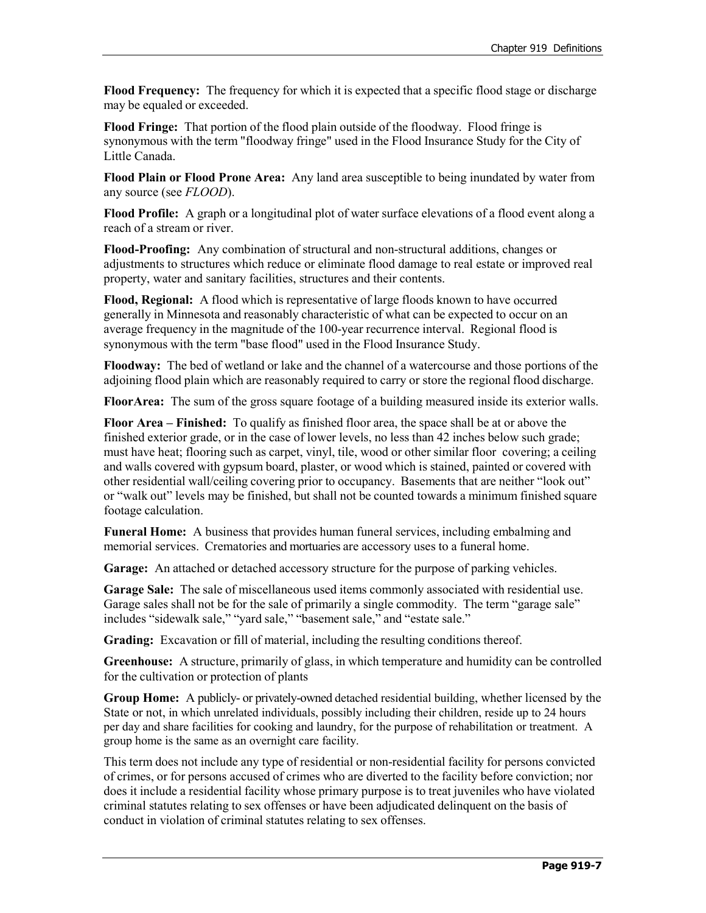**Flood Frequency:** The frequency for which it is expected that a specific flood stage or discharge may be equaled or exceeded.

**Flood Fringe:** That portion of the flood plain outside of the floodway. Flood fringe is synonymous with the term "floodway fringe" used in the Flood Insurance Study for the City of Little Canada.

**Flood Plain or Flood Prone Area:** Any land area susceptible to being inundated by water from any source (see *FLOOD*).

**Flood Profile:** A graph or a longitudinal plot of water surface elevations of a flood event along a reach of a stream or river.

**Flood-Proofing:** Any combination of structural and non-structural additions, changes or adjustments to structures which reduce or eliminate flood damage to real estate or improved real property, water and sanitary facilities, structures and their contents.

**Flood, Regional:** A flood which is representative of large floods known to have occurred generally in Minnesota and reasonably characteristic of what can be expected to occur on an average frequency in the magnitude of the 100-year recurrence interval. Regional flood is synonymous with the term "base flood" used in the Flood Insurance Study.

**Floodway:** The bed of wetland or lake and the channel of a watercourse and those portions of the adjoining flood plain which are reasonably required to carry or store the regional flood discharge.

**FloorArea:** The sum of the gross square footage of a building measured inside its exterior walls.

**Floor Area – Finished:** To qualify as finished floor area, the space shall be at or above the finished exterior grade, or in the case of lower levels, no less than 42 inches below such grade; must have heat; flooring such as carpet, vinyl, tile, wood or other similar floor covering; a ceiling and walls covered with gypsum board, plaster, or wood which is stained, painted or covered with other residential wall/ceiling covering prior to occupancy. Basements that are neither "look out" or "walk out" levels may be finished, but shall not be counted towards a minimum finished square footage calculation.

**Funeral Home:** A business that provides human funeral services, including embalming and memorial services. Crematories and mortuaries are accessory uses to a funeral home.

**Garage:** An attached or detached accessory structure for the purpose of parking vehicles.

**Garage Sale:** The sale of miscellaneous used items commonly associated with residential use. Garage sales shall not be for the sale of primarily a single commodity. The term "garage sale" includes "sidewalk sale," "yard sale," "basement sale," and "estate sale."

**Grading:** Excavation or fill of material, including the resulting conditions thereof.

**Greenhouse:** A structure, primarily of glass, in which temperature and humidity can be controlled for the cultivation or protection of plants

**Group Home:** A publicly- or privately-owned detached residential building, whether licensed by the State or not, in which unrelated individuals, possibly including their children, reside up to 24 hours per day and share facilities for cooking and laundry, for the purpose of rehabilitation or treatment. A group home is the same as an overnight care facility.

This term does not include any type of residential or non-residential facility for persons convicted of crimes, or for persons accused of crimes who are diverted to the facility before conviction; nor does it include a residential facility whose primary purpose is to treat juveniles who have violated criminal statutes relating to sex offenses or have been adjudicated delinquent on the basis of conduct in violation of criminal statutes relating to sex offenses.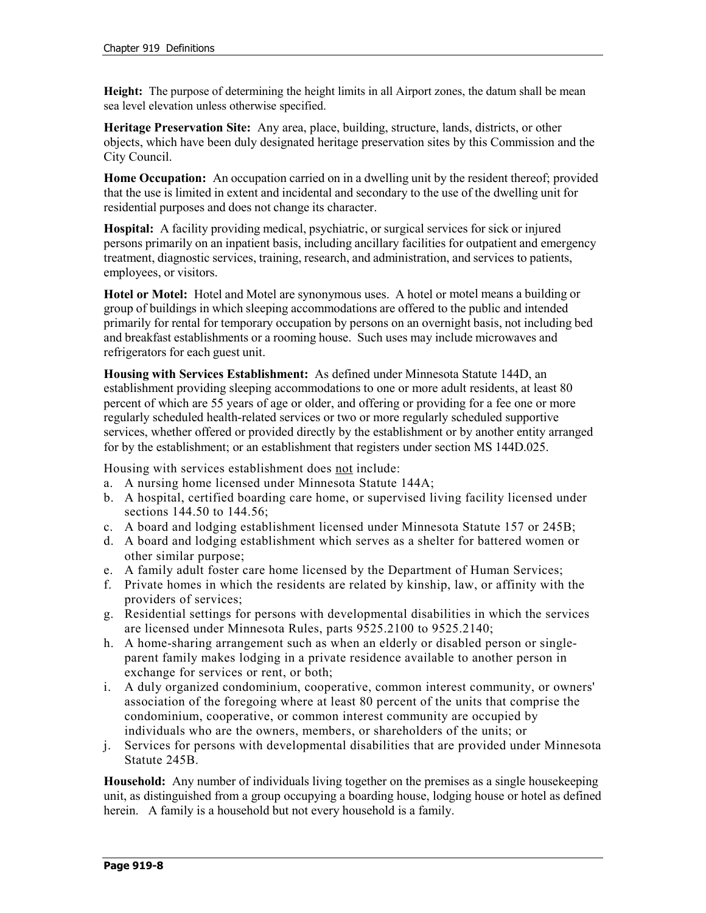**Height:** The purpose of determining the height limits in all Airport zones, the datum shall be mean sea level elevation unless otherwise specified.

**Heritage Preservation Site:** Any area, place, building, structure, lands, districts, or other objects, which have been duly designated heritage preservation sites by this Commission and the City Council.

**Home Occupation:** An occupation carried on in a dwelling unit by the resident thereof; provided that the use is limited in extent and incidental and secondary to the use of the dwelling unit for residential purposes and does not change its character.

**Hospital:** A facility providing medical, psychiatric, or surgical services for sick or injured persons primarily on an inpatient basis, including ancillary facilities for outpatient and emergency treatment, diagnostic services, training, research, and administration, and services to patients, employees, or visitors.

**Hotel or Motel:** Hotel and Motel are synonymous uses. A hotel or motel means a building or group of buildings in which sleeping accommodations are offered to the public and intended primarily for rental for temporary occupation by persons on an overnight basis, not including bed and breakfast establishments or a rooming house. Such uses may include microwaves and refrigerators for each guest unit.

**Housing with Services Establishment:** As defined under Minnesota Statute 144D, an establishment providing sleeping accommodations to one or more adult residents, at least 80 percent of which are 55 years of age or older, and offering or providing for a fee one or more regularly scheduled health-related services or two or more regularly scheduled supportive services, whether offered or provided directly by the establishment or by another entity arranged for by the establishment; or an establishment that registers under section MS 144D.025.

Housing with services establishment does not include:

- a. A nursing home licensed under Minnesota Statute 144A;
- b. A hospital, certified boarding care home, or supervised living facility licensed under sections [144.50](https://www.revisor.leg.state.mn.us/statutes?id=144.50#stat.144.50) to [144.56;](https://www.revisor.leg.state.mn.us/statutes?id=144.56#stat.144.56)
- c. A board and lodging establishment licensed under Minnesota Statute 157 or 245B;
- d. A board and lodging establishment which serves as a shelter for battered women or other similar purpose;
- e. A family adult foster care home licensed by the Department of Human Services;
- f. Private homes in which the residents are related by kinship, law, or affinity with the providers of services;
- g. Residential settings for persons with developmental disabilities in which the services are licensed under Minnesota Rules, parts 9525.2100 to 9525.2140;
- h. A home-sharing arrangement such as when an elderly or disabled person or singleparent family makes lodging in a private residence available to another person in exchange for services or rent, or both;
- i. A duly organized condominium, cooperative, common interest community, or owners' association of the foregoing where at least 80 percent of the units that comprise the condominium, cooperative, or common interest community are occupied by individuals who are the owners, members, or shareholders of the units; or
- j. Services for persons with developmental disabilities that are provided under Minnesota Statute 245B.

**Household:** Any number of individuals living together on the premises as a single housekeeping unit, as distinguished from a group occupying a boarding house, lodging house or hotel as defined herein. A family is a household but not every household is a family.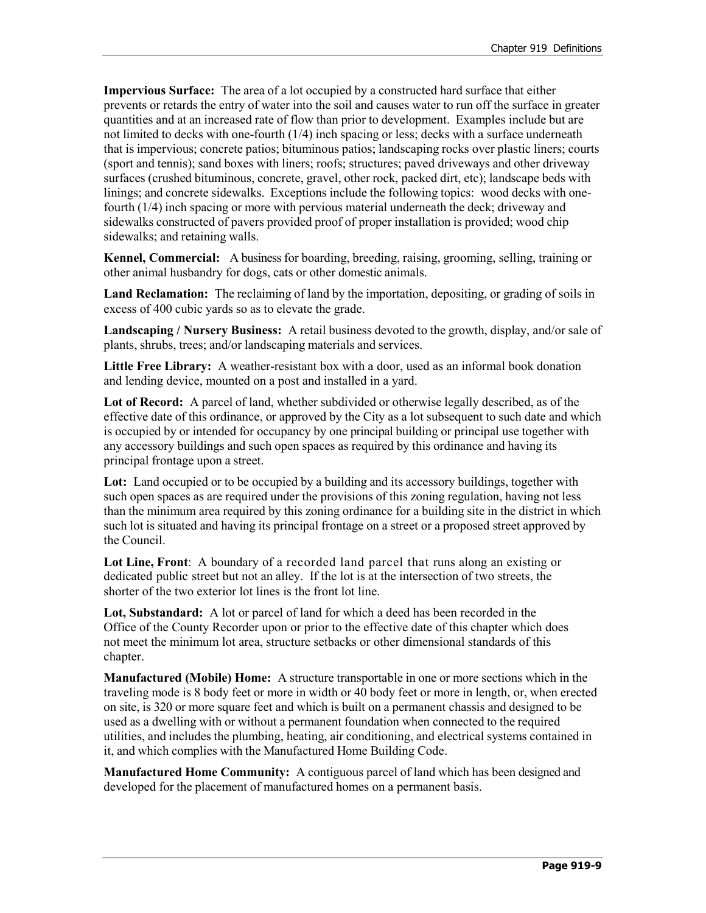**Impervious Surface:** The area of a lot occupied by a constructed hard surface that either prevents or retards the entry of water into the soil and causes water to run off the surface in greater quantities and at an increased rate of flow than prior to development. Examples include but are not limited to decks with one-fourth (1/4) inch spacing or less; decks with a surface underneath that is impervious; concrete patios; bituminous patios; landscaping rocks over plastic liners; courts (sport and tennis); sand boxes with liners; roofs; structures; paved driveways and other driveway surfaces (crushed bituminous, concrete, gravel, other rock, packed dirt, etc); landscape beds with linings; and concrete sidewalks. Exceptions include the following topics: wood decks with onefourth (1/4) inch spacing or more with pervious material underneath the deck; driveway and sidewalks constructed of pavers provided proof of proper installation is provided; wood chip sidewalks; and retaining walls.

**Kennel, Commercial:** A business for boarding, breeding, raising, grooming, selling, training or other animal husbandry for dogs, cats or other domestic animals.

**Land Reclamation:** The reclaiming of land by the importation, depositing, or grading of soils in excess of 400 cubic yards so as to elevate the grade.

**Landscaping / Nursery Business:** A retail business devoted to the growth, display, and/or sale of plants, shrubs, trees; and/or landscaping materials and services.

**Little Free Library:** A weather-resistant box with a door, used as an informal book donation and lending device, mounted on a post and installed in a yard.

**Lot of Record:** A parcel of land, whether subdivided or otherwise legally described, as of the effective date of this ordinance, or approved by the City as a lot subsequent to such date and which is occupied by or intended for occupancy by one principal building or principal use together with any accessory buildings and such open spaces as required by this ordinance and having its principal frontage upon a street.

Lot: Land occupied or to be occupied by a building and its accessory buildings, together with such open spaces as are required under the provisions of this zoning regulation, having not less than the minimum area required by this zoning ordinance for a building site in the district in which such lot is situated and having its principal frontage on a street or a proposed street approved by the Council.

**Lot Line, Front**: A boundary of a recorded land parcel that runs along an existing or dedicated public street but not an alley. If the lot is at the intersection of two streets, the shorter of the two exterior lot lines is the front lot line.

**Lot, Substandard:** A lot or parcel of land for which a deed has been recorded in the Office of the County Recorder upon or prior to the effective date of this chapter which does not meet the minimum lot area, structure setbacks or other dimensional standards of this chapter.

**Manufactured (Mobile) Home:** A structure transportable in one or more sections which in the traveling mode is 8 body feet or more in width or 40 body feet or more in length, or, when erected on site, is 320 or more square feet and which is built on a permanent chassis and designed to be used as a dwelling with or without a permanent foundation when connected to the required utilities, and includes the plumbing, heating, air conditioning, and electrical systems contained in it, and which complies with the Manufactured Home Building Code.

**Manufactured Home Community:** A contiguous parcel of land which has been designed and developed for the placement of manufactured homes on a permanent basis.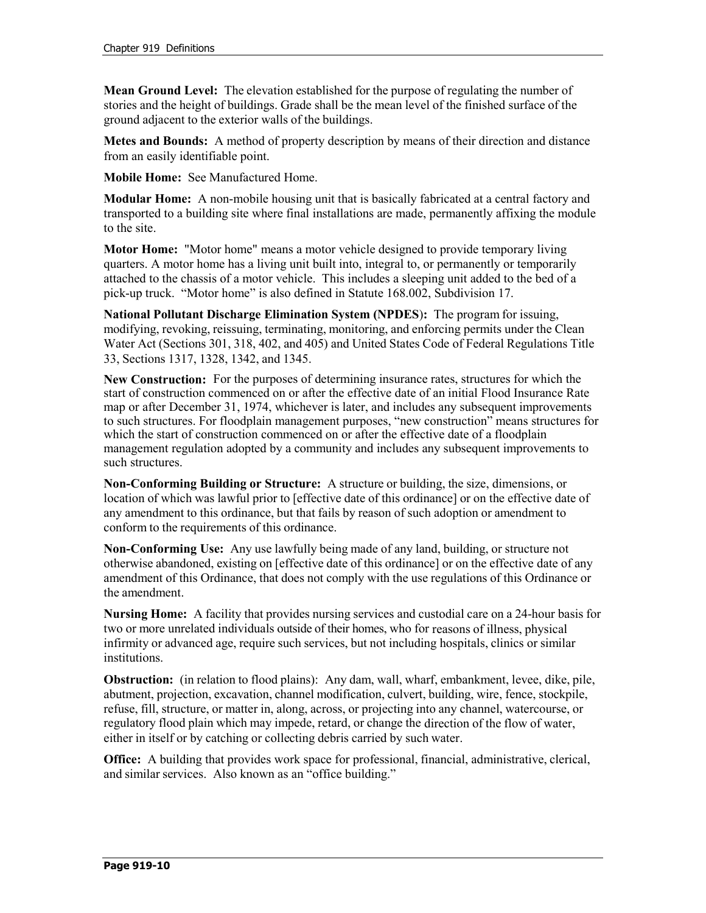**Mean Ground Level:** The elevation established for the purpose of regulating the number of stories and the height of buildings. Grade shall be the mean level of the finished surface of the ground adjacent to the exterior walls of the buildings.

**Metes and Bounds:** A method of property description by means of their direction and distance from an easily identifiable point.

**Mobile Home:** See Manufactured Home.

**Modular Home:** A non-mobile housing unit that is basically fabricated at a central factory and transported to a building site where final installations are made, permanently affixing the module to the site.

**Motor Home:** "Motor home" means a motor vehicle designed to provide temporary living quarters. A motor home has a living unit built into, integral to, or permanently or temporarily attached to the chassis of a motor vehicle. This includes a sleeping unit added to the bed of a pick-up truck. "Motor home" is also defined in Statute 168.002, Subdivision 17.

**National Pollutant Discharge Elimination System (NPDES**)**:** The program for issuing, modifying, revoking, reissuing, terminating, monitoring, and enforcing permits under the Clean Water Act (Sections 301, 318, 402, and 405) and United States Code of Federal Regulations Title 33, Sections 1317, 1328, 1342, and 1345.

**New Construction:** For the purposes of determining insurance rates, structures for which the start of construction commenced on or after the effective date of an initial Flood Insurance Rate map or after December 31, 1974, whichever is later, and includes any subsequent improvements to such structures. For floodplain management purposes, "new construction" means structures for which the start of construction commenced on or after the effective date of a floodplain management regulation adopted by a community and includes any subsequent improvements to such structures.

**Non-Conforming Building or Structure:** A structure or building, the size, dimensions, or location of which was lawful prior to [effective date of this ordinance] or on the effective date of any amendment to this ordinance, but that fails by reason of such adoption or amendment to conform to the requirements of this ordinance.

**Non-Conforming Use:** Any use lawfully being made of any land, building, or structure not otherwise abandoned, existing on [effective date of this ordinance] or on the effective date of any amendment of this Ordinance, that does not comply with the use regulations of this Ordinance or the amendment.

**Nursing Home:** A facility that provides nursing services and custodial care on a 24-hour basis for two or more unrelated individuals outside of their homes, who for reasons of illness, physical infirmity or advanced age, require such services, but not including hospitals, clinics or similar institutions.

**Obstruction:** (in relation to flood plains): Any dam, wall, wharf, embankment, levee, dike, pile, abutment, projection, excavation, channel modification, culvert, building, wire, fence, stockpile, refuse, fill, structure, or matter in, along, across, or projecting into any channel, watercourse, or regulatory flood plain which may impede, retard, or change the direction of the flow of water, either in itself or by catching or collecting debris carried by such water.

**Office:** A building that provides work space for professional, financial, administrative, clerical, and similar services. Also known as an "office building."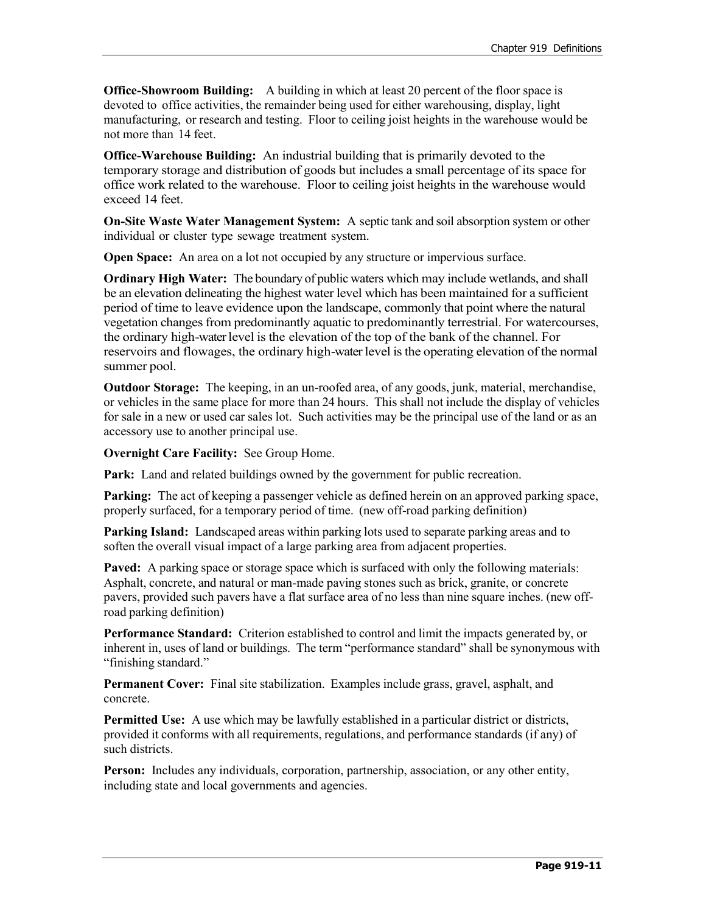**Office-Showroom Building:** A building in which at least 20 percent of the floor space is devoted to office activities, the remainder being used for either warehousing, display, light manufacturing, or research and testing. Floor to ceiling joist heights in the warehouse would be not more than 14 feet.

**Office-Warehouse Building:** An industrial building that is primarily devoted to the temporary storage and distribution of goods but includes a small percentage of its space for office work related to the warehouse. Floor to ceiling joist heights in the warehouse would exceed 14 feet.

**On-Site Waste Water Management System:** A septic tank and soil absorption system or other individual or cluster type sewage treatment system.

**Open Space:** An area on a lot not occupied by any structure or impervious surface.

**Ordinary High Water:** The boundary of public waters which may include wetlands, and shall be an elevation delineating the highest water level which has been maintained for a sufficient period of time to leave evidence upon the landscape, commonly that point where the natural vegetation changes from predominantly aquatic to predominantly terrestrial. For watercourses, the ordinary high-waterlevel is the elevation of the top of the bank of the channel. For reservoirs and flowages, the ordinary high-waterlevel isthe operating elevation of the normal summer pool.

**Outdoor Storage:** The keeping, in an un-roofed area, of any goods, junk, material, merchandise, or vehicles in the same place for more than 24 hours. This shall not include the display of vehicles for sale in a new or used car sales lot. Such activities may be the principal use of the land or as an accessory use to another principal use.

**Overnight Care Facility:** See Group Home.

**Park:** Land and related buildings owned by the government for public recreation.

**Parking:** The act of keeping a passenger vehicle as defined herein on an approved parking space, properly surfaced, for a temporary period of time. (new off-road parking definition)

**Parking Island:** Landscaped areas within parking lots used to separate parking areas and to soften the overall visual impact of a large parking area from adjacent properties.

**Paved:** A parking space or storage space which is surfaced with only the following materials: Asphalt, concrete, and natural or man-made paving stones such as brick, granite, or concrete pavers, provided such pavers have a flat surface area of no less than nine square inches. (new offroad parking definition)

**Performance Standard:** Criterion established to control and limit the impacts generated by, or inherent in, uses of land or buildings. The term "performance standard" shall be synonymous with "finishing standard."

**Permanent Cover:** Final site stabilization. Examples include grass, gravel, asphalt, and concrete.

**Permitted Use:** A use which may be lawfully established in a particular district or districts, provided it conforms with all requirements, regulations, and performance standards (if any) of such districts.

**Person:** Includes any individuals, corporation, partnership, association, or any other entity, including state and local governments and agencies.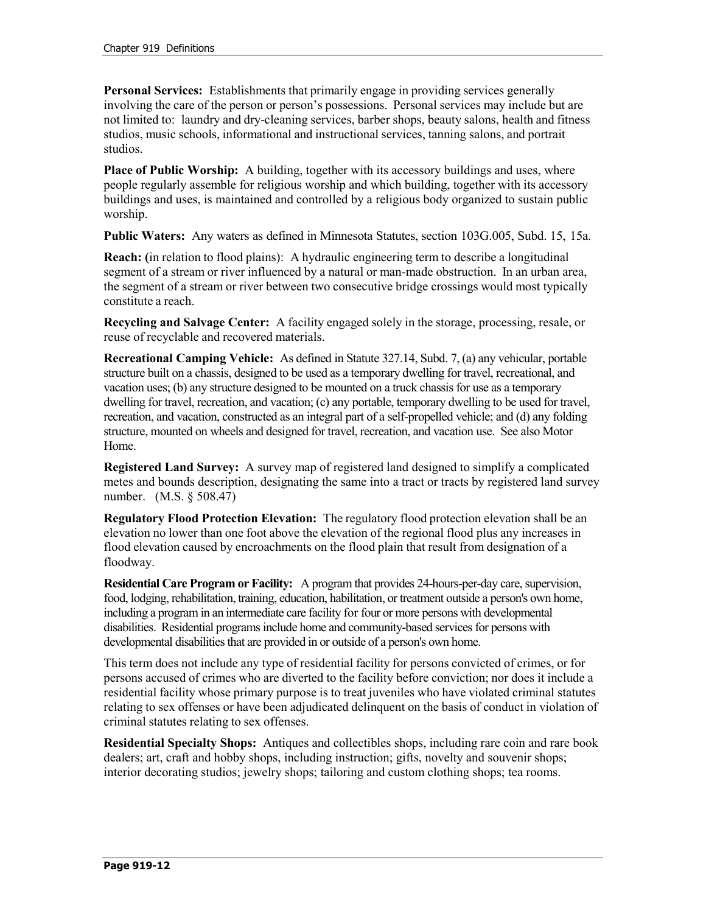**Personal Services:** Establishments that primarily engage in providing services generally involving the care of the person or person's possessions. Personal services may include but are not limited to: laundry and dry-cleaning services, barber shops, beauty salons, health and fitness studios, music schools, informational and instructional services, tanning salons, and portrait studios.

**Place of Public Worship:** A building, together with its accessory buildings and uses, where people regularly assemble for religious worship and which building, together with its accessory buildings and uses, is maintained and controlled by a religious body organized to sustain public worship.

**Public Waters:** Any waters as defined in Minnesota Statutes, section 103G.005, Subd. 15, 15a.

**Reach: (**in relation to flood plains): A hydraulic engineering term to describe a longitudinal segment of a stream or river influenced by a natural or man-made obstruction. In an urban area, the segment of a stream or river between two consecutive bridge crossings would most typically constitute a reach.

**Recycling and Salvage Center:** A facility engaged solely in the storage, processing, resale, or reuse of recyclable and recovered materials.

**Recreational Camping Vehicle:** As defined in Statute 327.14, Subd. 7, (a) any vehicular, portable structure built on a chassis, designed to be used as a temporary dwelling for travel, recreational, and vacation uses; (b) any structure designed to be mounted on a truck chassis for use as a temporary dwelling for travel, recreation, and vacation; (c) any portable, temporary dwelling to be used for travel, recreation, and vacation, constructed as an integral part of a self-propelled vehicle; and (d) any folding structure, mounted on wheels and designed for travel, recreation, and vacation use. See also Motor Home.

**Registered Land Survey:** A survey map of registered land designed to simplify a complicated metes and bounds description, designating the same into a tract or tracts by registered land survey number. (M.S. § 508.47)

**Regulatory Flood Protection Elevation:** The regulatory flood protection elevation shall be an elevation no lower than one foot above the elevation of the regional flood plus any increases in flood elevation caused by encroachments on the flood plain that result from designation of a floodway.

**Residential Care Program or Facility:** A program that provides 24-hours-per-day care, supervision, food, lodging, rehabilitation, training, education, habilitation, or treatment outside a person's own home, including a program in an intermediate care facility for four or more persons with developmental disabilities. Residential programs include home and community-based services for persons with developmental disabilities that are provided in or outside of a person's own home.

This term does not include any type of residential facility for persons convicted of crimes, or for persons accused of crimes who are diverted to the facility before conviction; nor does it include a residential facility whose primary purpose is to treat juveniles who have violated criminal statutes relating to sex offenses or have been adjudicated delinquent on the basis of conduct in violation of criminal statutes relating to sex offenses.

**Residential Specialty Shops:** Antiques and collectibles shops, including rare coin and rare book dealers; art, craft and hobby shops, including instruction; gifts, novelty and souvenir shops; interior decorating studios; jewelry shops; tailoring and custom clothing shops; tea rooms.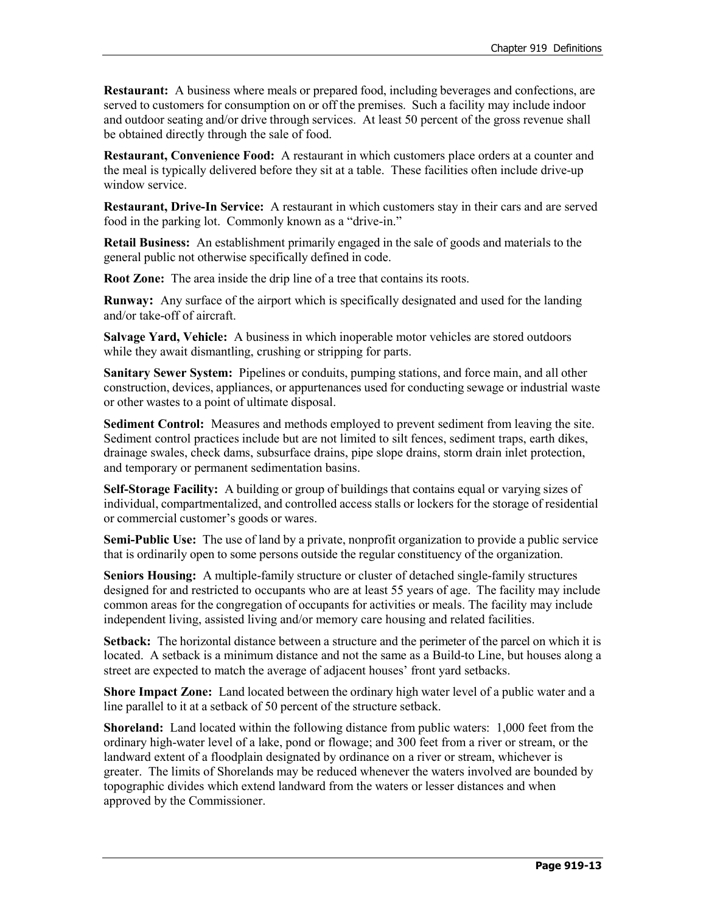**Restaurant:** A business where meals or prepared food, including beverages and confections, are served to customers for consumption on or off the premises. Such a facility may include indoor and outdoor seating and/or drive through services. At least 50 percent of the gross revenue shall be obtained directly through the sale of food.

**Restaurant, Convenience Food:** A restaurant in which customers place orders at a counter and the meal is typically delivered before they sit at a table. These facilities often include drive-up window service.

**Restaurant, Drive-In Service:** A restaurant in which customers stay in their cars and are served food in the parking lot. Commonly known as a "drive-in."

**Retail Business:** An establishment primarily engaged in the sale of goods and materials to the general public not otherwise specifically defined in code.

**Root Zone:** The area inside the drip line of a tree that contains its roots.

**Runway:** Any surface of the airport which is specifically designated and used for the landing and/or take-off of aircraft.

**Salvage Yard, Vehicle:** A business in which inoperable motor vehicles are stored outdoors while they await dismantling, crushing or stripping for parts.

**Sanitary Sewer System:** Pipelines or conduits, pumping stations, and force main, and all other construction, devices, appliances, or appurtenances used for conducting sewage or industrial waste or other wastes to a point of ultimate disposal.

**Sediment Control:** Measures and methods employed to prevent sediment from leaving the site. Sediment control practices include but are not limited to silt fences, sediment traps, earth dikes, drainage swales, check dams, subsurface drains, pipe slope drains, storm drain inlet protection, and temporary or permanent sedimentation basins.

**Self-Storage Facility:** A building or group of buildings that contains equal or varying sizes of individual, compartmentalized, and controlled access stalls or lockers for the storage of residential or commercial customer's goods or wares.

**Semi-Public Use:** The use of land by a private, nonprofit organization to provide a public service that is ordinarily open to some persons outside the regular constituency of the organization.

**Seniors Housing:** A multiple-family structure or cluster of detached single-family structures designed for and restricted to occupants who are at least 55 years of age. The facility may include common areas for the congregation of occupants for activities or meals. The facility may include independent living, assisted living and/or memory care housing and related facilities.

**Setback:** The horizontal distance between a structure and the perimeter of the parcel on which it is located. A setback is a minimum distance and not the same as a Build-to Line, but houses along a street are expected to match the average of adjacent houses' front yard setbacks.

**Shore Impact Zone:** Land located between the ordinary high water level of a public water and a line parallel to it at a setback of 50 percent of the structure setback.

**Shoreland:** Land located within the following distance from public waters: 1,000 feet from the ordinary high-water level of a lake, pond or flowage; and 300 feet from a river or stream, or the landward extent of a floodplain designated by ordinance on a river or stream, whichever is greater. The limits of Shorelands may be reduced whenever the waters involved are bounded by topographic divides which extend landward from the waters or lesser distances and when approved by the Commissioner.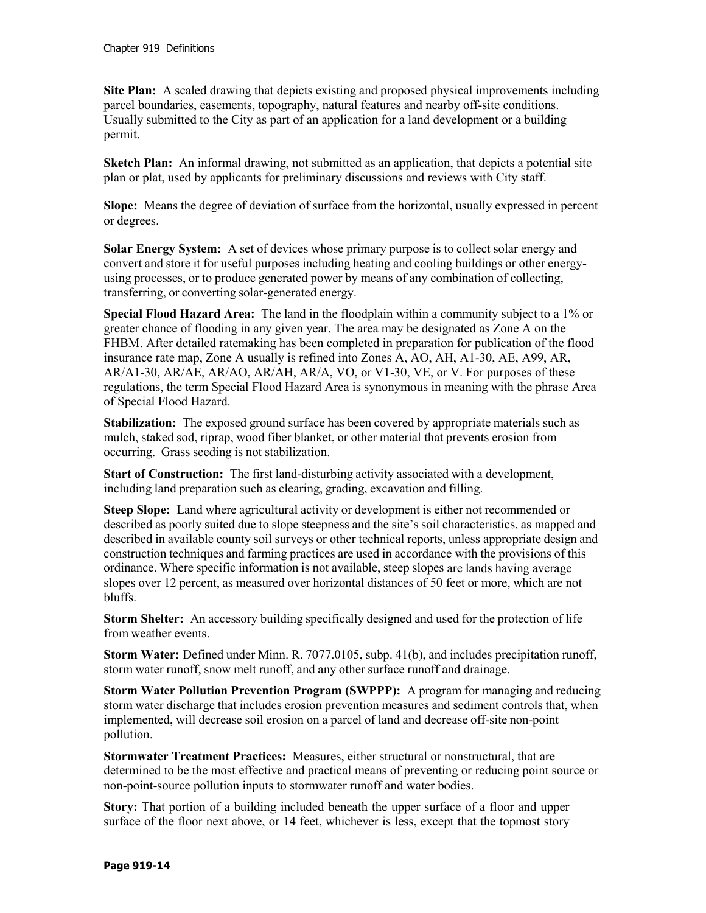**Site Plan:** A scaled drawing that depicts existing and proposed physical improvements including parcel boundaries, easements, topography, natural features and nearby off-site conditions. Usually submitted to the City as part of an application for a land development or a building permit.

**Sketch Plan:** An informal drawing, not submitted as an application, that depicts a potential site plan or plat, used by applicants for preliminary discussions and reviews with City staff.

**Slope:** Means the degree of deviation of surface from the horizontal, usually expressed in percent or degrees.

**Solar Energy System:** A set of devices whose primary purpose is to collect solar energy and convert and store it for useful purposes including heating and cooling buildings or other energyusing processes, or to produce generated power by means of any combination of collecting, transferring, or converting solar-generated energy.

**Special Flood Hazard Area:** The land in the floodplain within a community subject to a 1% or greater chance of flooding in any given year. The area may be designated as Zone A on the FHBM. After detailed ratemaking has been completed in preparation for publication of the flood insurance rate map, Zone A usually is refined into Zones A, AO, AH, A1-30, AE, A99, AR, AR/A1-30, AR/AE, AR/AO, AR/AH, AR/A, VO, or V1-30, VE, or V. For purposes of these regulations, the term Special Flood Hazard Area is synonymous in meaning with the phrase Area of Special Flood Hazard.

**Stabilization:** The exposed ground surface has been covered by appropriate materials such as mulch, staked sod, riprap, wood fiber blanket, or other material that prevents erosion from occurring. Grass seeding is not stabilization.

**Start of Construction:** The first land-disturbing activity associated with a development, including land preparation such as clearing, grading, excavation and filling.

**Steep Slope:** Land where agricultural activity or development is either not recommended or described as poorly suited due to slope steepness and the site's soil characteristics, as mapped and described in available county soil surveys or other technical reports, unless appropriate design and construction techniques and farming practices are used in accordance with the provisions of this ordinance. Where specific information is not available, steep slopes are lands having average slopes over 12 percent, as measured over horizontal distances of 50 feet or more, which are not bluffs.

**Storm Shelter:** An accessory building specifically designed and used for the protection of life from weather events.

**Storm Water:** Defined under Minn. R. 7077.0105, subp. 41(b), and includes precipitation runoff, storm water runoff, snow melt runoff, and any other surface runoff and drainage.

**Storm Water Pollution Prevention Program (SWPPP):** A program for managing and reducing storm water discharge that includes erosion prevention measures and sediment controls that, when implemented, will decrease soil erosion on a parcel of land and decrease off-site non-point pollution.

**Stormwater Treatment Practices:** Measures, either structural or nonstructural, that are determined to be the most effective and practical means of preventing or reducing point source or non-point-source pollution inputs to stormwater runoff and water bodies.

**Story:** That portion of a building included beneath the upper surface of a floor and upper surface of the floor next above, or 14 feet, whichever is less, except that the topmost story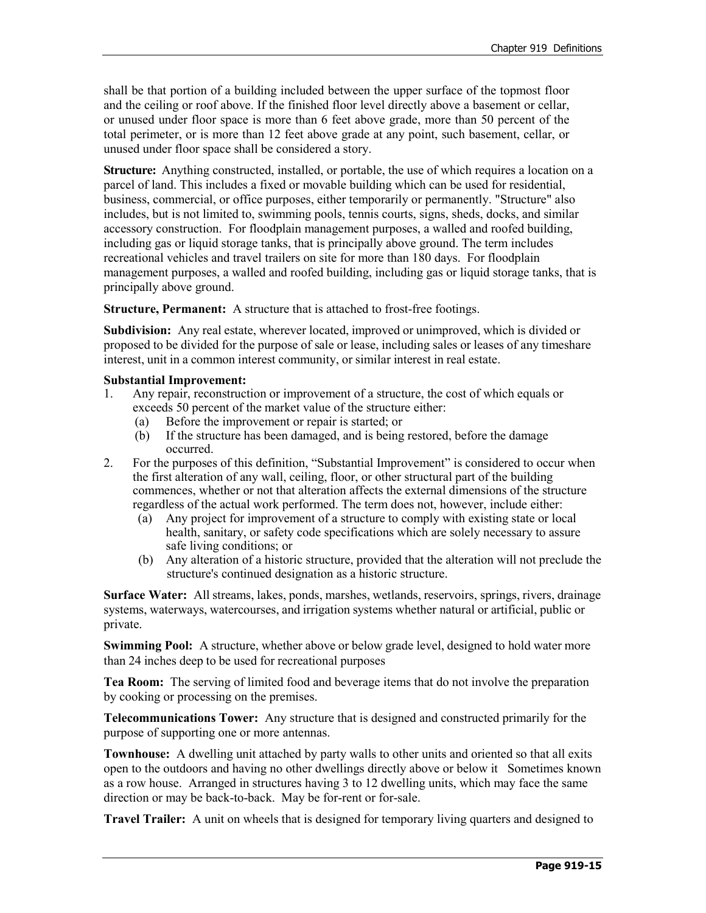shall be that portion of a building included between the upper surface of the topmost floor and the ceiling or roof above. If the finished floor level directly above a basement or cellar, or unused under floor space is more than 6 feet above grade, more than 50 percent of the total perimeter, or is more than 12 feet above grade at any point, such basement, cellar, or unused under floor space shall be considered a story.

**Structure:** Anything constructed, installed, or portable, the use of which requires a location on a parcel of land. This includes a fixed or movable building which can be used for residential, business, commercial, or office purposes, either temporarily or permanently. "Structure" also includes, but is not limited to, swimming pools, tennis courts, signs, sheds, docks, and similar accessory construction. For floodplain management purposes, a walled and roofed building, including gas or liquid storage tanks, that is principally above ground. The term includes recreational vehicles and travel trailers on site for more than 180 days. For floodplain management purposes, a walled and roofed building, including gas or liquid storage tanks, that is principally above ground.

**Structure, Permanent:** A structure that is attached to frost-free footings.

**Subdivision:** Any real estate, wherever located, improved or unimproved, which is divided or proposed to be divided for the purpose of sale or lease, including sales or leases of any timeshare interest, unit in a common interest community, or similar interest in real estate.

#### **Substantial Improvement:**

- 1. Any repair, reconstruction or improvement of a structure, the cost of which equals or exceeds 50 percent of the market value of the structure either:
	- (a) Before the improvement or repair is started; or
	- (b) If the structure has been damaged, and is being restored, before the damage occurred.
- 2. For the purposes of this definition, "Substantial Improvement" is considered to occur when the first alteration of any wall, ceiling, floor, or other structural part of the building commences, whether or not that alteration affects the external dimensions of the structure regardless of the actual work performed. The term does not, however, include either:
	- (a) Any project for improvement of a structure to comply with existing state or local health, sanitary, or safety code specifications which are solely necessary to assure safe living conditions; or
	- (b) Any alteration of a historic structure, provided that the alteration will not preclude the structure's continued designation as a historic structure.

**Surface Water:** All streams, lakes, ponds, marshes, wetlands, reservoirs, springs, rivers, drainage systems, waterways, watercourses, and irrigation systems whether natural or artificial, public or private.

**Swimming Pool:** A structure, whether above or below grade level, designed to hold water more than 24 inches deep to be used for recreational purposes

**Tea Room:** The serving of limited food and beverage items that do not involve the preparation by cooking or processing on the premises.

**Telecommunications Tower:** Any structure that is designed and constructed primarily for the purpose of supporting one or more antennas.

**Townhouse:** A dwelling unit attached by party walls to other units and oriented so that all exits open to the outdoors and having no other dwellings directly above or below it Sometimes known as a row house. Arranged in structures having 3 to 12 dwelling units, which may face the same direction or may be back-to-back. May be for-rent or for-sale.

**Travel Trailer:** A unit on wheels that is designed for temporary living quarters and designed to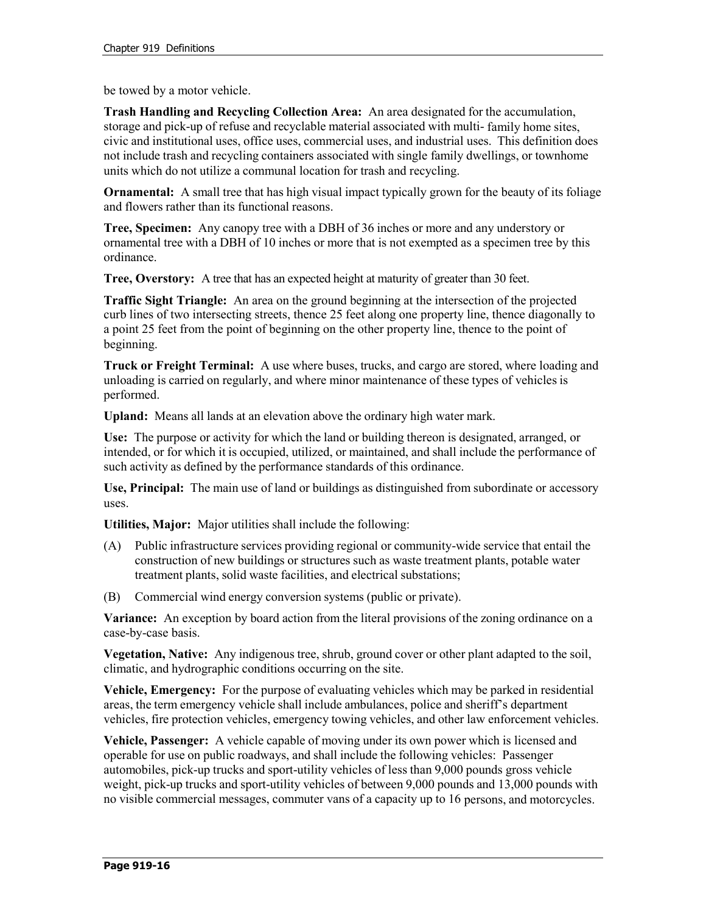be towed by a motor vehicle.

**Trash Handling and Recycling Collection Area:** An area designated for the accumulation, storage and pick-up of refuse and recyclable material associated with multi- family home sites, civic and institutional uses, office uses, commercial uses, and industrial uses. This definition does not include trash and recycling containers associated with single family dwellings, or townhome units which do not utilize a communal location for trash and recycling.

**Ornamental:** A small tree that has high visual impact typically grown for the beauty of its foliage and flowers rather than its functional reasons.

**Tree, Specimen:** Any canopy tree with a DBH of 36 inches or more and any understory or ornamental tree with a DBH of 10 inches or more that is not exempted as a specimen tree by this ordinance.

**Tree, Overstory:** A tree that has an expected height at maturity of greater than 30 feet.

**Traffic Sight Triangle:** An area on the ground beginning at the intersection of the projected curb lines of two intersecting streets, thence 25 feet along one property line, thence diagonally to a point 25 feet from the point of beginning on the other property line, thence to the point of beginning.

**Truck or Freight Terminal:** A use where buses, trucks, and cargo are stored, where loading and unloading is carried on regularly, and where minor maintenance of these types of vehicles is performed.

**Upland:** Means all lands at an elevation above the ordinary high water mark.

**Use:** The purpose or activity for which the land or building thereon is designated, arranged, or intended, or for which it is occupied, utilized, or maintained, and shall include the performance of such activity as defined by the performance standards of this ordinance.

**Use, Principal:** The main use of land or buildings as distinguished from subordinate or accessory uses.

**Utilities, Major:** Major utilities shall include the following:

- (A) Public infrastructure services providing regional or community-wide service that entail the construction of new buildings or structures such as waste treatment plants, potable water treatment plants, solid waste facilities, and electrical substations;
- (B) Commercial wind energy conversion systems (public or private).

**Variance:** An exception by board action from the literal provisions of the zoning ordinance on a case-by-case basis.

**Vegetation, Native:** Any indigenous tree, shrub, ground cover or other plant adapted to the soil, climatic, and hydrographic conditions occurring on the site.

**Vehicle, Emergency:** For the purpose of evaluating vehicles which may be parked in residential areas, the term emergency vehicle shall include ambulances, police and sheriff's department vehicles, fire protection vehicles, emergency towing vehicles, and other law enforcement vehicles.

**Vehicle, Passenger:** A vehicle capable of moving under its own power which is licensed and operable for use on public roadways, and shall include the following vehicles: Passenger automobiles, pick-up trucks and sport-utility vehicles of less than 9,000 pounds gross vehicle weight, pick-up trucks and sport-utility vehicles of between 9,000 pounds and 13,000 pounds with no visible commercial messages, commuter vans of a capacity up to 16 persons, and motorcycles.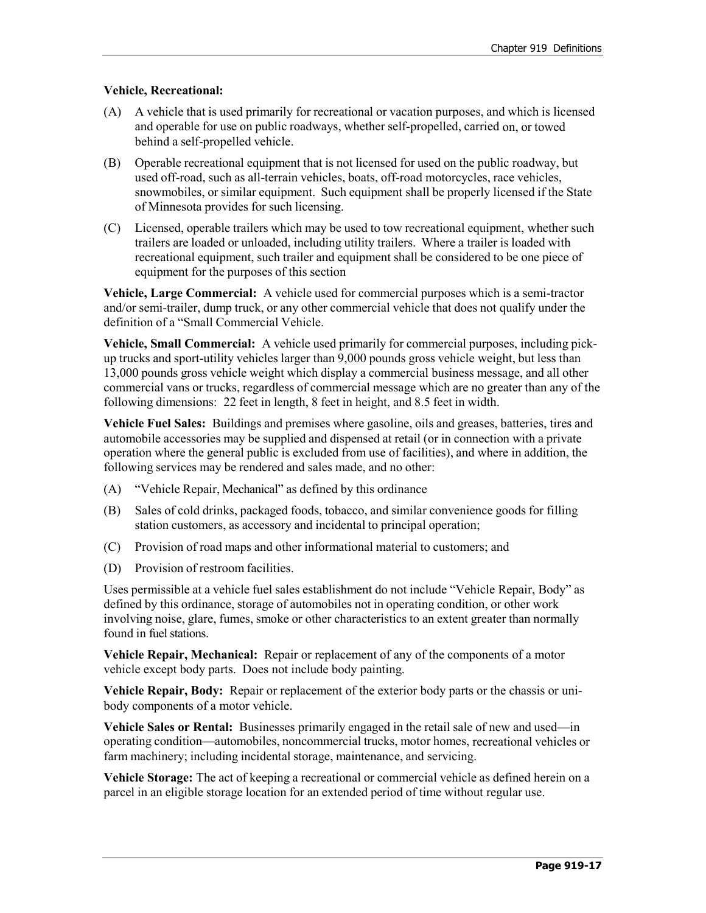### **Vehicle, Recreational:**

- (A) A vehicle that is used primarily for recreational or vacation purposes, and which is licensed and operable for use on public roadways, whether self-propelled, carried on, or towed behind a self-propelled vehicle.
- (B) Operable recreational equipment that is not licensed for used on the public roadway, but used off-road, such as all-terrain vehicles, boats, off-road motorcycles, race vehicles, snowmobiles, or similar equipment. Such equipment shall be properly licensed if the State of Minnesota provides for such licensing.
- (C) Licensed, operable trailers which may be used to tow recreational equipment, whether such trailers are loaded or unloaded, including utility trailers. Where a trailer is loaded with recreational equipment, such trailer and equipment shall be considered to be one piece of equipment for the purposes of this section

**Vehicle, Large Commercial:** A vehicle used for commercial purposes which is a semi-tractor and/or semi-trailer, dump truck, or any other commercial vehicle that does not qualify under the definition of a "Small Commercial Vehicle.

**Vehicle, Small Commercial:** A vehicle used primarily for commercial purposes, including pickup trucks and sport-utility vehicles larger than 9,000 pounds gross vehicle weight, but less than 13,000 pounds gross vehicle weight which display a commercial business message, and all other commercial vans or trucks, regardless of commercial message which are no greater than any of the following dimensions: 22 feet in length, 8 feet in height, and 8.5 feet in width.

**Vehicle Fuel Sales:** Buildings and premises where gasoline, oils and greases, batteries, tires and automobile accessories may be supplied and dispensed at retail (or in connection with a private operation where the general public is excluded from use of facilities), and where in addition, the following services may be rendered and sales made, and no other:

- (A) "Vehicle Repair, Mechanical" as defined by this ordinance
- (B) Sales of cold drinks, packaged foods, tobacco, and similar convenience goods for filling station customers, as accessory and incidental to principal operation;
- (C) Provision of road maps and other informational material to customers; and
- (D) Provision of restroom facilities.

Uses permissible at a vehicle fuel sales establishment do not include "Vehicle Repair, Body" as defined by this ordinance, storage of automobiles not in operating condition, or other work involving noise, glare, fumes, smoke or other characteristics to an extent greater than normally found in fuel stations.

**Vehicle Repair, Mechanical:** Repair or replacement of any of the components of a motor vehicle except body parts. Does not include body painting.

**Vehicle Repair, Body:** Repair or replacement of the exterior body parts or the chassis or unibody components of a motor vehicle.

**Vehicle Sales or Rental:** Businesses primarily engaged in the retail sale of new and used—in operating condition—automobiles, noncommercial trucks, motor homes, recreational vehicles or farm machinery; including incidental storage, maintenance, and servicing.

**Vehicle Storage:** The act of keeping a recreational or commercial vehicle as defined herein on a parcel in an eligible storage location for an extended period of time without regular use.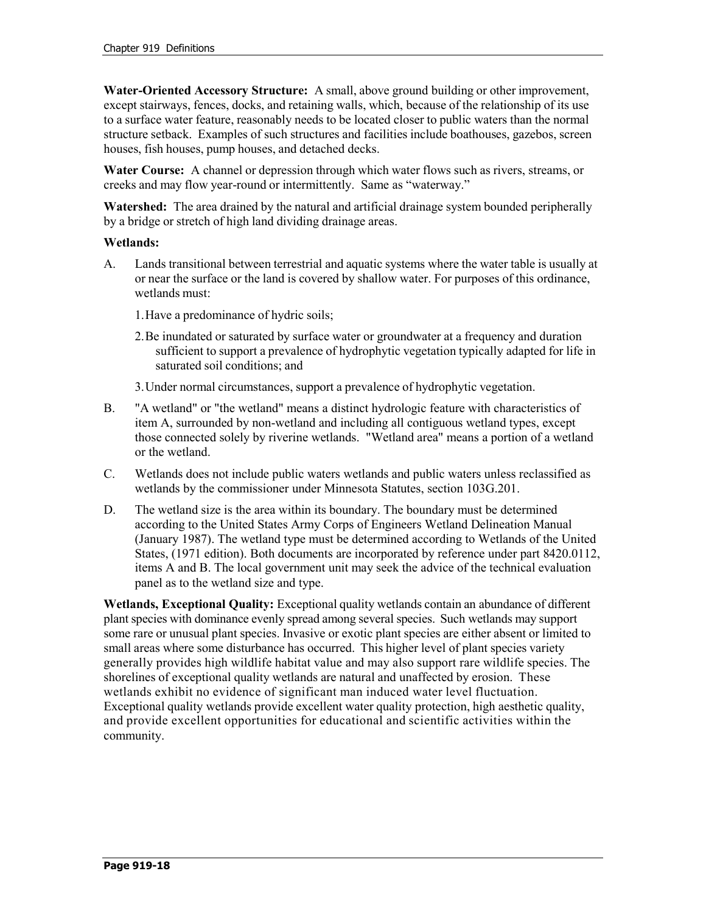**Water-Oriented Accessory Structure:** A small, above ground building or other improvement, except stairways, fences, docks, and retaining walls, which, because of the relationship of its use to a surface water feature, reasonably needs to be located closer to public waters than the normal structure setback. Examples of such structures and facilities include boathouses, gazebos, screen houses, fish houses, pump houses, and detached decks.

**Water Course:** A channel or depression through which water flows such as rivers, streams, or creeks and may flow year-round or intermittently. Same as "waterway."

**Watershed:** The area drained by the natural and artificial drainage system bounded peripherally by a bridge or stretch of high land dividing drainage areas.

### **Wetlands:**

- A. Lands transitional between terrestrial and aquatic systems where the water table is usually at or near the surface or the land is covered by shallow water. For purposes of this ordinance, wetlands must:
	- 1.Have a predominance of hydric soils;
	- 2.Be inundated or saturated by surface water or groundwater at a frequency and duration sufficient to support a prevalence of hydrophytic vegetation typically adapted for life in saturated soil conditions; and

3.Under normal circumstances, support a prevalence of hydrophytic vegetation.

- B. "A wetland" or "the wetland" means a distinct hydrologic feature with characteristics of item A, surrounded by non-wetland and including all contiguous wetland types, except those connected solely by riverine wetlands. "Wetland area" means a portion of a wetland or the wetland.
- C. Wetlands does not include public waters wetlands and public waters unless reclassified as wetlands by the commissioner under Minnesota Statutes, section 103G.201.
- D. The wetland size is the area within its boundary. The boundary must be determined according to the United States Army Corps of Engineers Wetland Delineation Manual (January 1987). The wetland type must be determined according to Wetlands of the United States, (1971 edition). Both documents are incorporated by reference under part 8420.0112, items A and B. The local government unit may seek the advice of the technical evaluation panel as to the wetland size and type.

**Wetlands, Exceptional Quality:** Exceptional quality wetlands contain an abundance of different plant species with dominance evenly spread among several species. Such wetlands may support some rare or unusual plant species. Invasive or exotic plant species are either absent or limited to small areas where some disturbance has occurred. This higher level of plant species variety generally provides high wildlife habitat value and may also support rare wildlife species. The shorelines of exceptional quality wetlands are natural and unaffected by erosion. These wetlands exhibit no evidence of significant man induced water level fluctuation. Exceptional quality wetlands provide excellent water quality protection, high aesthetic quality, and provide excellent opportunities for educational and scientific activities within the community.